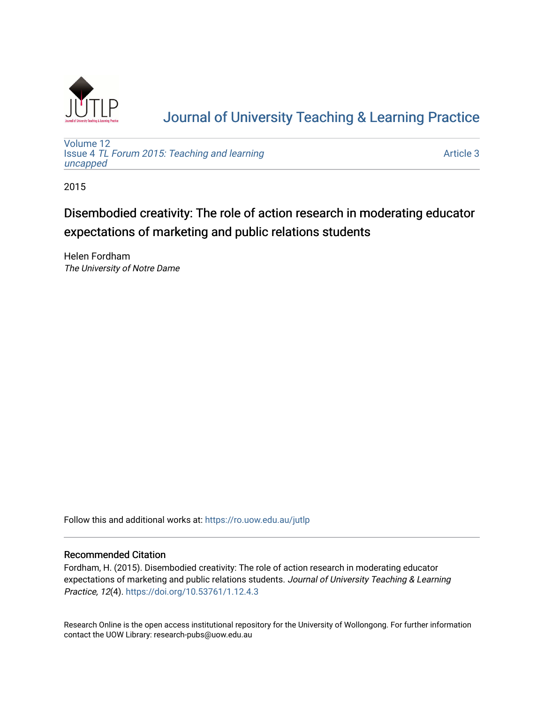

# [Journal of University Teaching & Learning Practice](https://ro.uow.edu.au/jutlp)

[Volume 12](https://ro.uow.edu.au/jutlp/vol12) Issue 4 [TL Forum 2015: Teaching and learning](https://ro.uow.edu.au/jutlp/vol12/iss4)  [uncapped](https://ro.uow.edu.au/jutlp/vol12/iss4)

[Article 3](https://ro.uow.edu.au/jutlp/vol12/iss4/3) 

2015

## Disembodied creativity: The role of action research in moderating educator expectations of marketing and public relations students

Helen Fordham The University of Notre Dame

Follow this and additional works at: [https://ro.uow.edu.au/jutlp](https://ro.uow.edu.au/jutlp?utm_source=ro.uow.edu.au%2Fjutlp%2Fvol12%2Fiss4%2F3&utm_medium=PDF&utm_campaign=PDFCoverPages) 

#### Recommended Citation

Fordham, H. (2015). Disembodied creativity: The role of action research in moderating educator expectations of marketing and public relations students. Journal of University Teaching & Learning Practice, 12(4). <https://doi.org/10.53761/1.12.4.3>

Research Online is the open access institutional repository for the University of Wollongong. For further information contact the UOW Library: research-pubs@uow.edu.au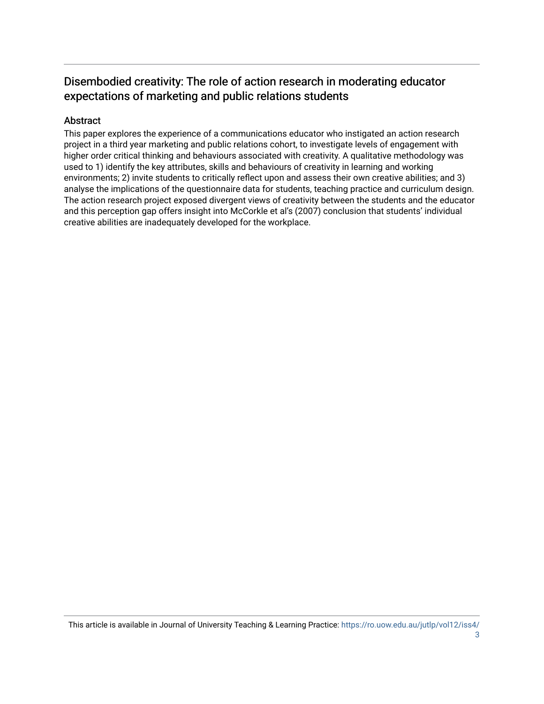### Disembodied creativity: The role of action research in moderating educator expectations of marketing and public relations students

#### Abstract

This paper explores the experience of a communications educator who instigated an action research project in a third year marketing and public relations cohort, to investigate levels of engagement with higher order critical thinking and behaviours associated with creativity. A qualitative methodology was used to 1) identify the key attributes, skills and behaviours of creativity in learning and working environments; 2) invite students to critically reflect upon and assess their own creative abilities; and 3) analyse the implications of the questionnaire data for students, teaching practice and curriculum design. The action research project exposed divergent views of creativity between the students and the educator and this perception gap offers insight into McCorkle et al's (2007) conclusion that students' individual creative abilities are inadequately developed for the workplace.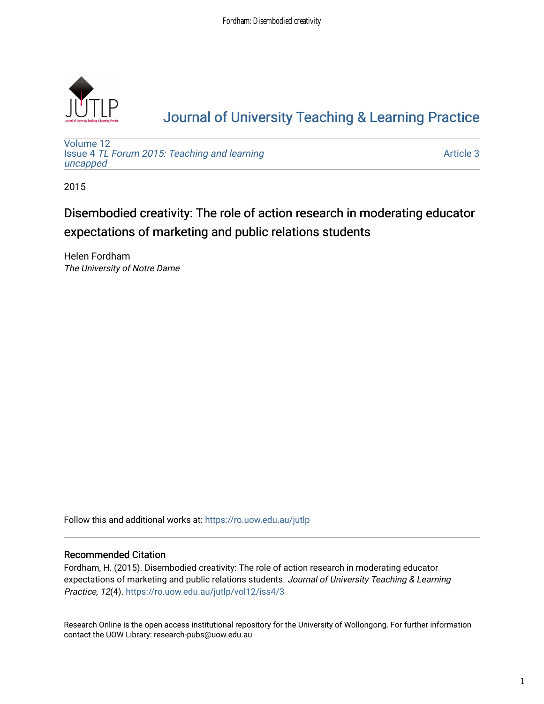

# [Journal of University Teaching & Learning Practice](https://ro.uow.edu.au/jutlp)

[Volume 12](https://ro.uow.edu.au/jutlp/vol12) Issue 4 [TL Forum 2015: Teaching and learning](https://ro.uow.edu.au/jutlp/vol12/iss4)  [uncapped](https://ro.uow.edu.au/jutlp/vol12/iss4)

[Article 3](https://ro.uow.edu.au/jutlp/vol12/iss4/3) 

2015

## Disembodied creativity: The role of action research in moderating educator expectations of marketing and public relations students

Helen Fordham The University of Notre Dame

Follow this and additional works at: [https://ro.uow.edu.au/jutlp](https://ro.uow.edu.au/jutlp?utm_source=ro.uow.edu.au%2Fjutlp%2Fvol12%2Fiss4%2F3&utm_medium=PDF&utm_campaign=PDFCoverPages) 

#### Recommended Citation

Fordham, H. (2015). Disembodied creativity: The role of action research in moderating educator expectations of marketing and public relations students. Journal of University Teaching & Learning Practice, 12(4). [https://ro.uow.edu.au/jutlp/vol12/iss4/3](https://ro.uow.edu.au/jutlp/vol12/iss4/3?utm_source=ro.uow.edu.au%2Fjutlp%2Fvol12%2Fiss4%2F3&utm_medium=PDF&utm_campaign=PDFCoverPages)

Research Online is the open access institutional repository for the University of Wollongong. For further information contact the UOW Library: research-pubs@uow.edu.au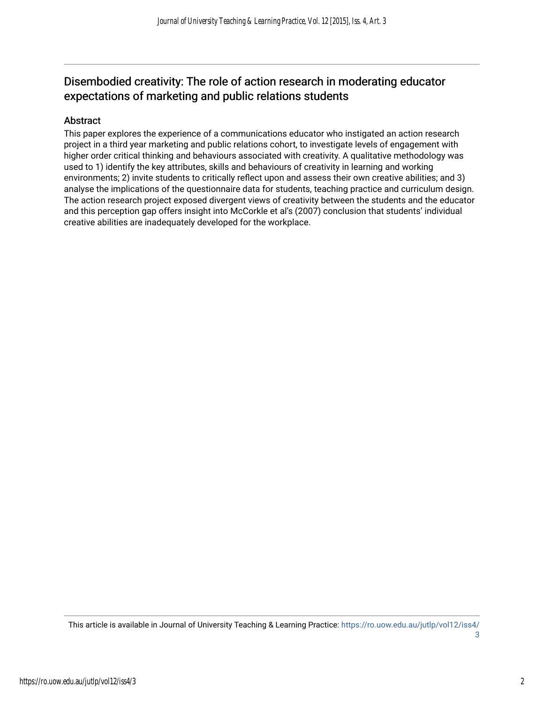### Disembodied creativity: The role of action research in moderating educator expectations of marketing and public relations students

#### Abstract

This paper explores the experience of a communications educator who instigated an action research project in a third year marketing and public relations cohort, to investigate levels of engagement with higher order critical thinking and behaviours associated with creativity. A qualitative methodology was used to 1) identify the key attributes, skills and behaviours of creativity in learning and working environments; 2) invite students to critically reflect upon and assess their own creative abilities; and 3) analyse the implications of the questionnaire data for students, teaching practice and curriculum design. The action research project exposed divergent views of creativity between the students and the educator and this perception gap offers insight into McCorkle et al's (2007) conclusion that students' individual creative abilities are inadequately developed for the workplace.

This article is available in Journal of University Teaching & Learning Practice: [https://ro.uow.edu.au/jutlp/vol12/iss4/](https://ro.uow.edu.au/jutlp/vol12/iss4/3) [3](https://ro.uow.edu.au/jutlp/vol12/iss4/3)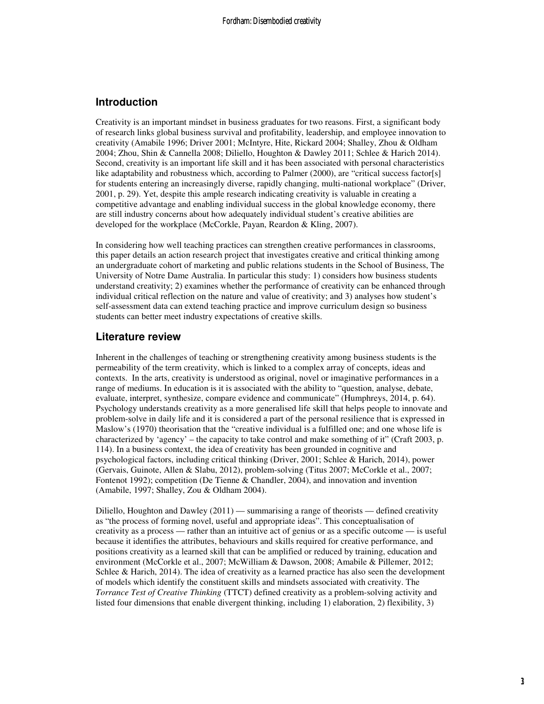#### **Introduction**

Creativity is an important mindset in business graduates for two reasons. First, a significant body of research links global business survival and profitability, leadership, and employee innovation to creativity (Amabile 1996; Driver 2001; McIntyre, Hite, Rickard 2004; Shalley, Zhou & Oldham 2004; Zhou, Shin & Cannella 2008; Diliello, Houghton & Dawley 2011; Schlee & Harich 2014). Second, creativity is an important life skill and it has been associated with personal characteristics like adaptability and robustness which, according to Palmer (2000), are "critical success factor[s] for students entering an increasingly diverse, rapidly changing, multi-national workplace" (Driver, 2001, p. 29). Yet, despite this ample research indicating creativity is valuable in creating a competitive advantage and enabling individual success in the global knowledge economy, there are still industry concerns about how adequately individual student's creative abilities are developed for the workplace (McCorkle, Payan, Reardon & Kling, 2007).

In considering how well teaching practices can strengthen creative performances in classrooms, this paper details an action research project that investigates creative and critical thinking among an undergraduate cohort of marketing and public relations students in the School of Business, The University of Notre Dame Australia. In particular this study: 1) considers how business students understand creativity; 2) examines whether the performance of creativity can be enhanced through individual critical reflection on the nature and value of creativity; and 3) analyses how student's self-assessment data can extend teaching practice and improve curriculum design so business students can better meet industry expectations of creative skills.

#### **Literature review**

Inherent in the challenges of teaching or strengthening creativity among business students is the permeability of the term creativity, which is linked to a complex array of concepts, ideas and contexts. In the arts, creativity is understood as original, novel or imaginative performances in a range of mediums. In education is it is associated with the ability to "question, analyse, debate, evaluate, interpret, synthesize, compare evidence and communicate" (Humphreys, 2014, p. 64). Psychology understands creativity as a more generalised life skill that helps people to innovate and problem-solve in daily life and it is considered a part of the personal resilience that is expressed in Maslow's (1970) theorisation that the "creative individual is a fulfilled one; and one whose life is characterized by 'agency' – the capacity to take control and make something of it" (Craft 2003, p. 114). In a business context, the idea of creativity has been grounded in cognitive and psychological factors, including critical thinking (Driver, 2001; Schlee & Harich, 2014), power (Gervais, Guinote, Allen & Slabu, 2012), problem-solving (Titus 2007; McCorkle et al., 2007; Fontenot 1992); competition (De Tienne & Chandler, 2004), and innovation and invention (Amabile, 1997; Shalley, Zou & Oldham 2004).

Diliello, Houghton and Dawley  $(2011)$  — summarising a range of theorists — defined creativity as "the process of forming novel, useful and appropriate ideas". This conceptualisation of creativity as a process — rather than an intuitive act of genius or as a specific outcome — is useful because it identifies the attributes, behaviours and skills required for creative performance, and positions creativity as a learned skill that can be amplified or reduced by training, education and environment (McCorkle et al., 2007; McWilliam & Dawson, 2008; Amabile & Pillemer, 2012; Schlee & Harich, 2014). The idea of creativity as a learned practice has also seen the development of models which identify the constituent skills and mindsets associated with creativity. The *Torrance Test of Creative Thinking* (TTCT) defined creativity as a problem-solving activity and listed four dimensions that enable divergent thinking, including 1) elaboration, 2) flexibility, 3)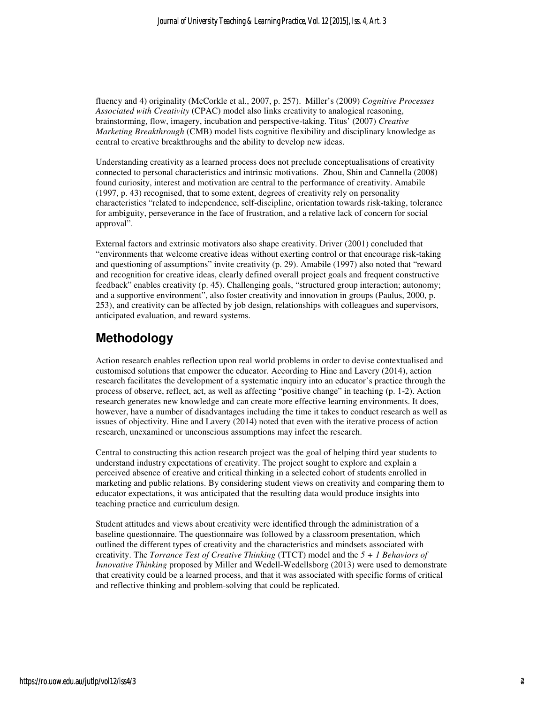fluency and 4) originality (McCorkle et al., 2007, p. 257). Miller's (2009) *Cognitive Processes Associated with Creativity* (CPAC) model also links creativity to analogical reasoning, brainstorming, flow, imagery, incubation and perspective-taking. Titus' (2007) *Creative Marketing Breakthrough* (CMB) model lists cognitive flexibility and disciplinary knowledge as central to creative breakthroughs and the ability to develop new ideas.

Understanding creativity as a learned process does not preclude conceptualisations of creativity connected to personal characteristics and intrinsic motivations. Zhou, Shin and Cannella (2008) found curiosity, interest and motivation are central to the performance of creativity. Amabile (1997, p. 43) recognised, that to some extent, degrees of creativity rely on personality characteristics "related to independence, self-discipline, orientation towards risk-taking, tolerance for ambiguity, perseverance in the face of frustration, and a relative lack of concern for social approval".

External factors and extrinsic motivators also shape creativity. Driver (2001) concluded that "environments that welcome creative ideas without exerting control or that encourage risk-taking and questioning of assumptions" invite creativity (p. 29). Amabile (1997) also noted that "reward and recognition for creative ideas, clearly defined overall project goals and frequent constructive feedback" enables creativity (p. 45). Challenging goals, "structured group interaction; autonomy; and a supportive environment", also foster creativity and innovation in groups (Paulus, 2000, p. 253), and creativity can be affected by job design, relationships with colleagues and supervisors, anticipated evaluation, and reward systems.

## **Methodology**

Action research enables reflection upon real world problems in order to devise contextualised and customised solutions that empower the educator. According to Hine and Lavery (2014), action research facilitates the development of a systematic inquiry into an educator's practice through the process of observe, reflect, act, as well as affecting "positive change" in teaching (p. 1-2). Action research generates new knowledge and can create more effective learning environments. It does, however, have a number of disadvantages including the time it takes to conduct research as well as issues of objectivity. Hine and Lavery (2014) noted that even with the iterative process of action research, unexamined or unconscious assumptions may infect the research.

Central to constructing this action research project was the goal of helping third year students to understand industry expectations of creativity. The project sought to explore and explain a perceived absence of creative and critical thinking in a selected cohort of students enrolled in marketing and public relations. By considering student views on creativity and comparing them to educator expectations, it was anticipated that the resulting data would produce insights into teaching practice and curriculum design.

Student attitudes and views about creativity were identified through the administration of a baseline questionnaire. The questionnaire was followed by a classroom presentation, which outlined the different types of creativity and the characteristics and mindsets associated with creativity. The *Torrance Test of Creative Thinking* (TTCT) model and the *5 + 1 Behaviors of Innovative Thinking* proposed by Miller and Wedell-Wedellsborg (2013) were used to demonstrate that creativity could be a learned process, and that it was associated with specific forms of critical and reflective thinking and problem-solving that could be replicated.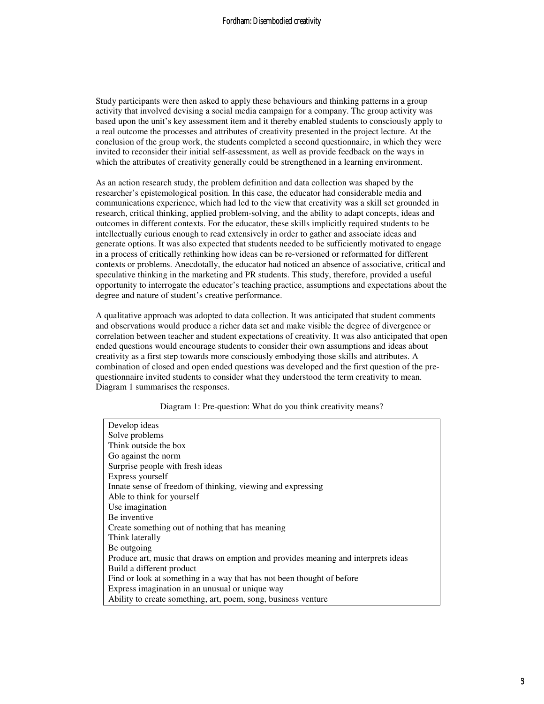Study participants were then asked to apply these behaviours and thinking patterns in a group activity that involved devising a social media campaign for a company. The group activity was based upon the unit's key assessment item and it thereby enabled students to consciously apply to a real outcome the processes and attributes of creativity presented in the project lecture. At the conclusion of the group work, the students completed a second questionnaire, in which they were invited to reconsider their initial self-assessment, as well as provide feedback on the ways in which the attributes of creativity generally could be strengthened in a learning environment.

As an action research study, the problem definition and data collection was shaped by the researcher's epistemological position. In this case, the educator had considerable media and communications experience, which had led to the view that creativity was a skill set grounded in research, critical thinking, applied problem-solving, and the ability to adapt concepts, ideas and outcomes in different contexts. For the educator, these skills implicitly required students to be intellectually curious enough to read extensively in order to gather and associate ideas and generate options. It was also expected that students needed to be sufficiently motivated to engage in a process of critically rethinking how ideas can be re-versioned or reformatted for different contexts or problems. Anecdotally, the educator had noticed an absence of associative, critical and speculative thinking in the marketing and PR students. This study, therefore, provided a useful opportunity to interrogate the educator's teaching practice, assumptions and expectations about the degree and nature of student's creative performance.

A qualitative approach was adopted to data collection. It was anticipated that student comments and observations would produce a richer data set and make visible the degree of divergence or correlation between teacher and student expectations of creativity. It was also anticipated that open ended questions would encourage students to consider their own assumptions and ideas about creativity as a first step towards more consciously embodying those skills and attributes. A combination of closed and open ended questions was developed and the first question of the prequestionnaire invited students to consider what they understood the term creativity to mean. Diagram 1 summarises the responses.

| Diagram 1: Pre-question: What do you think creativity means? |  |  |  |  |  |
|--------------------------------------------------------------|--|--|--|--|--|
|                                                              |  |  |  |  |  |
|                                                              |  |  |  |  |  |
|                                                              |  |  |  |  |  |

| Develop ideas                                                                      |
|------------------------------------------------------------------------------------|
| Solve problems                                                                     |
| Think outside the box                                                              |
| Go against the norm                                                                |
| Surprise people with fresh ideas                                                   |
| Express yourself                                                                   |
| Innate sense of freedom of thinking, viewing and expressing                        |
| Able to think for yourself                                                         |
| Use imagination                                                                    |
| Be inventive                                                                       |
| Create something out of nothing that has meaning                                   |
| Think laterally                                                                    |
| Be outgoing                                                                        |
| Produce art, music that draws on emption and provides meaning and interprets ideas |
| Build a different product                                                          |
| Find or look at something in a way that has not been thought of before             |
| Express imagination in an unusual or unique way                                    |
| Ability to create something, art, poem, song, business venture                     |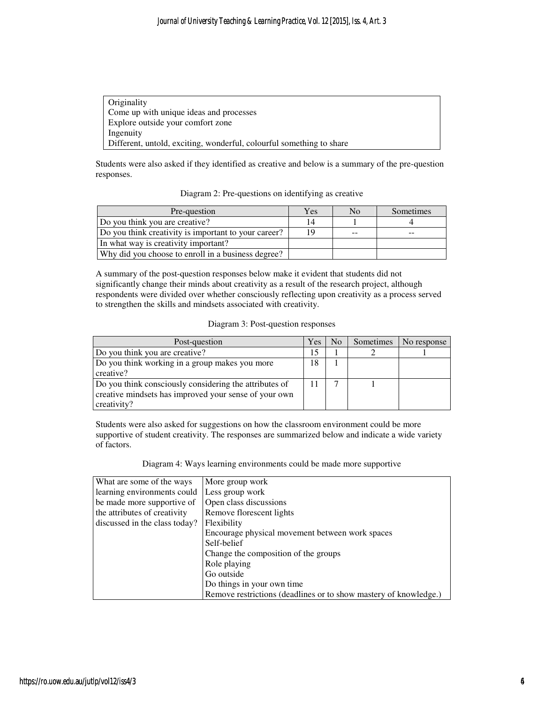| <b>Originality</b>                                                   |  |
|----------------------------------------------------------------------|--|
| Come up with unique ideas and processes                              |  |
| Explore outside your comfort zone                                    |  |
| Ingenuity                                                            |  |
| Different, untold, exciting, wonderful, colourful something to share |  |

Students were also asked if they identified as creative and below is a summary of the pre-question responses.

Diagram 2: Pre-questions on identifying as creative

| Pre-question                                         | Yes | No | Sometimes |
|------------------------------------------------------|-----|----|-----------|
| Do you think you are creative?                       | 14  |    |           |
| Do you think creativity is important to your career? | 19  | -- |           |
| In what way is creativity important?                 |     |    |           |
| Why did you choose to enroll in a business degree?   |     |    |           |

A summary of the post-question responses below make it evident that students did not significantly change their minds about creativity as a result of the research project, although respondents were divided over whether consciously reflecting upon creativity as a process served to strengthen the skills and mindsets associated with creativity.

Diagram 3: Post-question responses

| Post-question                                                                                                   | Yes | N <sub>0</sub> | Sometimes | No response |
|-----------------------------------------------------------------------------------------------------------------|-----|----------------|-----------|-------------|
| Do you think you are creative?                                                                                  | 15  |                |           |             |
| Do you think working in a group makes you more                                                                  | 18  |                |           |             |
| creative?                                                                                                       |     |                |           |             |
| Do you think consciously considering the attributes of<br>creative mindsets has improved your sense of your own |     |                |           |             |
| creativity?                                                                                                     |     |                |           |             |

Students were also asked for suggestions on how the classroom environment could be more supportive of student creativity. The responses are summarized below and indicate a wide variety of factors.

Diagram 4: Ways learning environments could be made more supportive

| What are some of the ways     | More group work                                                  |
|-------------------------------|------------------------------------------------------------------|
| learning environments could   | Less group work                                                  |
| be made more supportive of    | Open class discussions                                           |
| the attributes of creativity  | Remove florescent lights                                         |
| discussed in the class today? | Flexibility                                                      |
|                               | Encourage physical movement between work spaces                  |
|                               | Self-belief                                                      |
|                               | Change the composition of the groups                             |
|                               | Role playing                                                     |
|                               | Go outside                                                       |
|                               | Do things in your own time                                       |
|                               | Remove restrictions (deadlines or to show mastery of knowledge.) |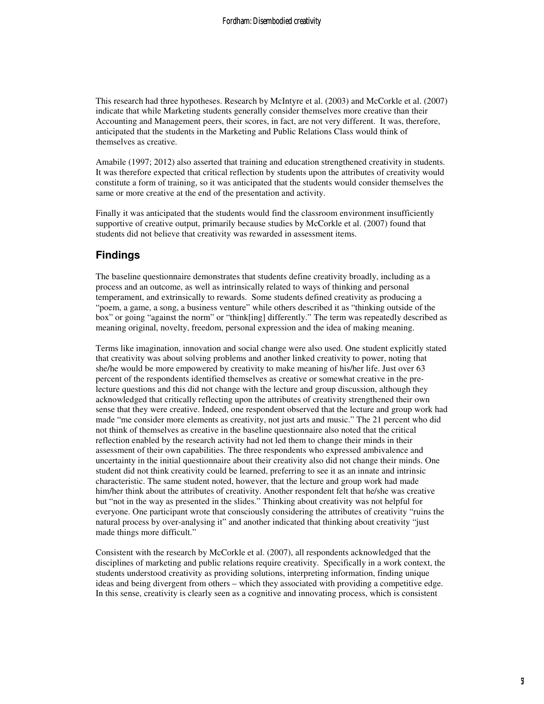This research had three hypotheses. Research by McIntyre et al. (2003) and McCorkle et al. (2007) indicate that while Marketing students generally consider themselves more creative than their Accounting and Management peers, their scores, in fact, are not very different. It was, therefore, anticipated that the students in the Marketing and Public Relations Class would think of themselves as creative.

Amabile (1997; 2012) also asserted that training and education strengthened creativity in students. It was therefore expected that critical reflection by students upon the attributes of creativity would constitute a form of training, so it was anticipated that the students would consider themselves the same or more creative at the end of the presentation and activity.

Finally it was anticipated that the students would find the classroom environment insufficiently supportive of creative output, primarily because studies by McCorkle et al. (2007) found that students did not believe that creativity was rewarded in assessment items.

#### **Findings**

The baseline questionnaire demonstrates that students define creativity broadly, including as a process and an outcome, as well as intrinsically related to ways of thinking and personal temperament, and extrinsically to rewards. Some students defined creativity as producing a "poem, a game, a song, a business venture" while others described it as "thinking outside of the box" or going "against the norm" or "think[ing] differently." The term was repeatedly described as meaning original, novelty, freedom, personal expression and the idea of making meaning.

Terms like imagination, innovation and social change were also used. One student explicitly stated that creativity was about solving problems and another linked creativity to power, noting that she/he would be more empowered by creativity to make meaning of his/her life. Just over 63 percent of the respondents identified themselves as creative or somewhat creative in the prelecture questions and this did not change with the lecture and group discussion, although they acknowledged that critically reflecting upon the attributes of creativity strengthened their own sense that they were creative. Indeed, one respondent observed that the lecture and group work had made "me consider more elements as creativity, not just arts and music." The 21 percent who did not think of themselves as creative in the baseline questionnaire also noted that the critical reflection enabled by the research activity had not led them to change their minds in their assessment of their own capabilities. The three respondents who expressed ambivalence and uncertainty in the initial questionnaire about their creativity also did not change their minds. One student did not think creativity could be learned, preferring to see it as an innate and intrinsic characteristic. The same student noted, however, that the lecture and group work had made him/her think about the attributes of creativity. Another respondent felt that he/she was creative but "not in the way as presented in the slides." Thinking about creativity was not helpful for everyone. One participant wrote that consciously considering the attributes of creativity "ruins the natural process by over-analysing it" and another indicated that thinking about creativity "just made things more difficult."

Consistent with the research by McCorkle et al. (2007), all respondents acknowledged that the disciplines of marketing and public relations require creativity. Specifically in a work context, the students understood creativity as providing solutions, interpreting information, finding unique ideas and being divergent from others – which they associated with providing a competitive edge. In this sense, creativity is clearly seen as a cognitive and innovating process, which is consistent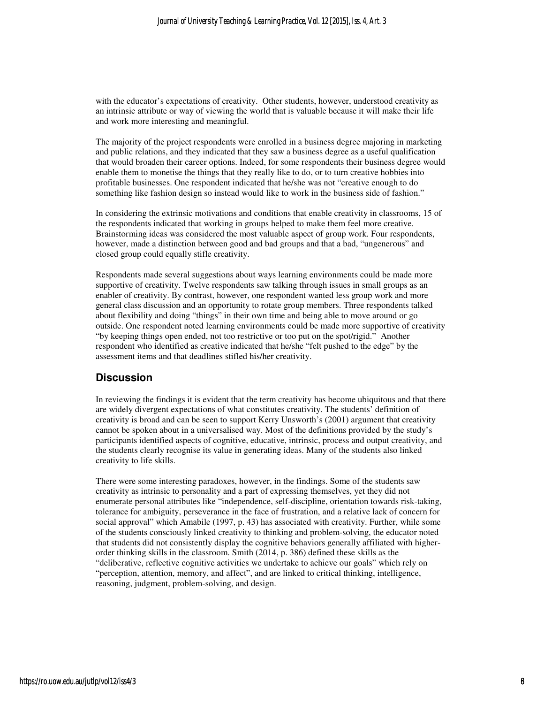with the educator's expectations of creativity. Other students, however, understood creativity as an intrinsic attribute or way of viewing the world that is valuable because it will make their life and work more interesting and meaningful.

The majority of the project respondents were enrolled in a business degree majoring in marketing and public relations, and they indicated that they saw a business degree as a useful qualification that would broaden their career options. Indeed, for some respondents their business degree would enable them to monetise the things that they really like to do, or to turn creative hobbies into profitable businesses. One respondent indicated that he/she was not "creative enough to do something like fashion design so instead would like to work in the business side of fashion."

In considering the extrinsic motivations and conditions that enable creativity in classrooms, 15 of the respondents indicated that working in groups helped to make them feel more creative. Brainstorming ideas was considered the most valuable aspect of group work. Four respondents, however, made a distinction between good and bad groups and that a bad, "ungenerous" and closed group could equally stifle creativity.

Respondents made several suggestions about ways learning environments could be made more supportive of creativity. Twelve respondents saw talking through issues in small groups as an enabler of creativity. By contrast, however, one respondent wanted less group work and more general class discussion and an opportunity to rotate group members. Three respondents talked about flexibility and doing "things" in their own time and being able to move around or go outside. One respondent noted learning environments could be made more supportive of creativity "by keeping things open ended, not too restrictive or too put on the spot/rigid." Another respondent who identified as creative indicated that he/she "felt pushed to the edge" by the assessment items and that deadlines stifled his/her creativity.

#### **Discussion**

In reviewing the findings it is evident that the term creativity has become ubiquitous and that there are widely divergent expectations of what constitutes creativity. The students' definition of creativity is broad and can be seen to support Kerry Unsworth's (2001) argument that creativity cannot be spoken about in a universalised way. Most of the definitions provided by the study's participants identified aspects of cognitive, educative, intrinsic, process and output creativity, and the students clearly recognise its value in generating ideas. Many of the students also linked creativity to life skills.

There were some interesting paradoxes, however, in the findings. Some of the students saw creativity as intrinsic to personality and a part of expressing themselves, yet they did not enumerate personal attributes like "independence, self-discipline, orientation towards risk-taking, tolerance for ambiguity, perseverance in the face of frustration, and a relative lack of concern for social approval" which Amabile (1997, p. 43) has associated with creativity. Further, while some of the students consciously linked creativity to thinking and problem-solving, the educator noted that students did not consistently display the cognitive behaviors generally affiliated with higherorder thinking skills in the classroom. Smith (2014, p. 386) defined these skills as the "deliberative, reflective cognitive activities we undertake to achieve our goals" which rely on "perception, attention, memory, and affect", and are linked to critical thinking, intelligence, reasoning, judgment, problem-solving, and design.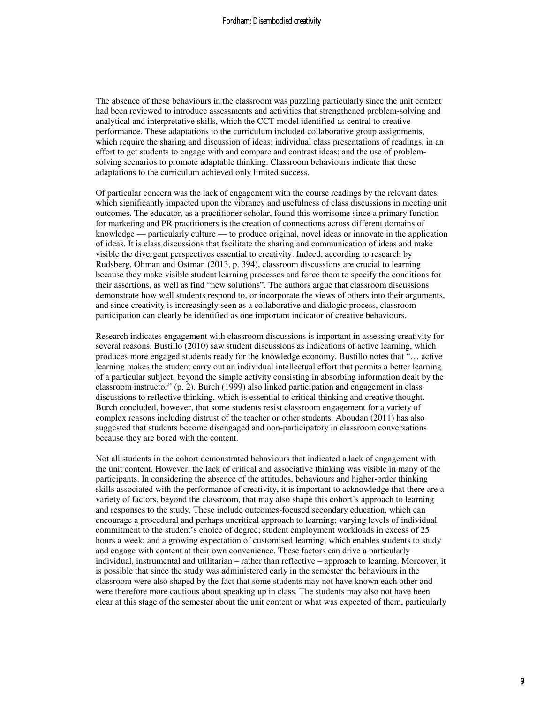The absence of these behaviours in the classroom was puzzling particularly since the unit content had been reviewed to introduce assessments and activities that strengthened problem-solving and analytical and interpretative skills, which the CCT model identified as central to creative performance. These adaptations to the curriculum included collaborative group assignments, which require the sharing and discussion of ideas; individual class presentations of readings, in an effort to get students to engage with and compare and contrast ideas; and the use of problemsolving scenarios to promote adaptable thinking. Classroom behaviours indicate that these adaptations to the curriculum achieved only limited success.

Of particular concern was the lack of engagement with the course readings by the relevant dates, which significantly impacted upon the vibrancy and usefulness of class discussions in meeting unit outcomes. The educator, as a practitioner scholar, found this worrisome since a primary function for marketing and PR practitioners is the creation of connections across different domains of knowledge — particularly culture — to produce original, novel ideas or innovate in the application of ideas. It is class discussions that facilitate the sharing and communication of ideas and make visible the divergent perspectives essential to creativity. Indeed, according to research by Rudsberg, Ohman and Ostman (2013, p. 394), classroom discussions are crucial to learning because they make visible student learning processes and force them to specify the conditions for their assertions, as well as find "new solutions". The authors argue that classroom discussions demonstrate how well students respond to, or incorporate the views of others into their arguments, and since creativity is increasingly seen as a collaborative and dialogic process, classroom participation can clearly be identified as one important indicator of creative behaviours.

Research indicates engagement with classroom discussions is important in assessing creativity for several reasons. Bustillo (2010) saw student discussions as indications of active learning, which produces more engaged students ready for the knowledge economy. Bustillo notes that "… active learning makes the student carry out an individual intellectual effort that permits a better learning of a particular subject, beyond the simple activity consisting in absorbing information dealt by the classroom instructor" (p. 2). Burch (1999) also linked participation and engagement in class discussions to reflective thinking, which is essential to critical thinking and creative thought. Burch concluded, however, that some students resist classroom engagement for a variety of complex reasons including distrust of the teacher or other students. Aboudan (2011) has also suggested that students become disengaged and non-participatory in classroom conversations because they are bored with the content.

Not all students in the cohort demonstrated behaviours that indicated a lack of engagement with the unit content. However, the lack of critical and associative thinking was visible in many of the participants. In considering the absence of the attitudes, behaviours and higher-order thinking skills associated with the performance of creativity, it is important to acknowledge that there are a variety of factors, beyond the classroom, that may also shape this cohort's approach to learning and responses to the study. These include outcomes-focused secondary education, which can encourage a procedural and perhaps uncritical approach to learning; varying levels of individual commitment to the student's choice of degree; student employment workloads in excess of 25 hours a week; and a growing expectation of customised learning, which enables students to study and engage with content at their own convenience. These factors can drive a particularly individual, instrumental and utilitarian – rather than reflective – approach to learning. Moreover, it is possible that since the study was administered early in the semester the behaviours in the classroom were also shaped by the fact that some students may not have known each other and were therefore more cautious about speaking up in class. The students may also not have been clear at this stage of the semester about the unit content or what was expected of them, particularly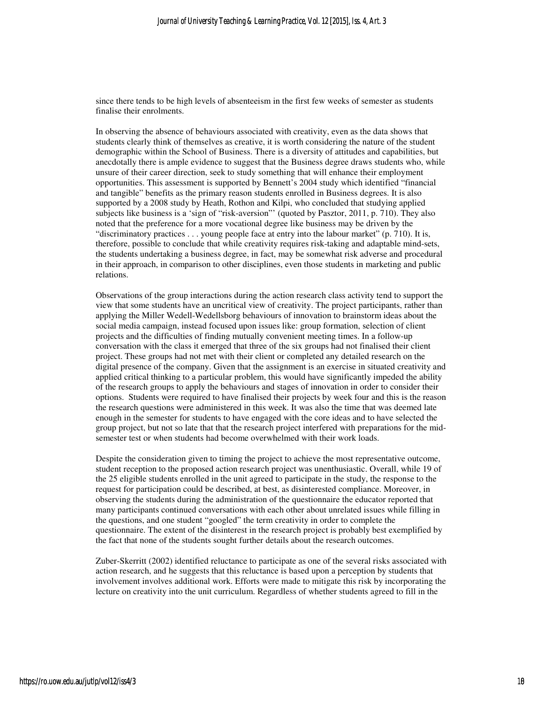since there tends to be high levels of absenteeism in the first few weeks of semester as students finalise their enrolments.

In observing the absence of behaviours associated with creativity, even as the data shows that students clearly think of themselves as creative, it is worth considering the nature of the student demographic within the School of Business. There is a diversity of attitudes and capabilities, but anecdotally there is ample evidence to suggest that the Business degree draws students who, while unsure of their career direction, seek to study something that will enhance their employment opportunities. This assessment is supported by Bennett's 2004 study which identified "financial and tangible" benefits as the primary reason students enrolled in Business degrees. It is also supported by a 2008 study by Heath, Rothon and Kilpi, who concluded that studying applied subjects like business is a 'sign of "risk-aversion"' (quoted by Pasztor, 2011, p. 710). They also noted that the preference for a more vocational degree like business may be driven by the "discriminatory practices . . . young people face at entry into the labour market" (p. 710). It is, therefore, possible to conclude that while creativity requires risk-taking and adaptable mind-sets, the students undertaking a business degree, in fact, may be somewhat risk adverse and procedural in their approach, in comparison to other disciplines, even those students in marketing and public relations.

Observations of the group interactions during the action research class activity tend to support the view that some students have an uncritical view of creativity. The project participants, rather than applying the Miller Wedell-Wedellsborg behaviours of innovation to brainstorm ideas about the social media campaign, instead focused upon issues like: group formation, selection of client projects and the difficulties of finding mutually convenient meeting times. In a follow-up conversation with the class it emerged that three of the six groups had not finalised their client project. These groups had not met with their client or completed any detailed research on the digital presence of the company. Given that the assignment is an exercise in situated creativity and applied critical thinking to a particular problem, this would have significantly impeded the ability of the research groups to apply the behaviours and stages of innovation in order to consider their options. Students were required to have finalised their projects by week four and this is the reason the research questions were administered in this week. It was also the time that was deemed late enough in the semester for students to have engaged with the core ideas and to have selected the group project, but not so late that that the research project interfered with preparations for the midsemester test or when students had become overwhelmed with their work loads.

Despite the consideration given to timing the project to achieve the most representative outcome, student reception to the proposed action research project was unenthusiastic. Overall, while 19 of the 25 eligible students enrolled in the unit agreed to participate in the study, the response to the request for participation could be described, at best, as disinterested compliance. Moreover, in observing the students during the administration of the questionnaire the educator reported that many participants continued conversations with each other about unrelated issues while filling in the questions, and one student "googled" the term creativity in order to complete the questionnaire. The extent of the disinterest in the research project is probably best exemplified by the fact that none of the students sought further details about the research outcomes.

Zuber-Skerritt (2002) identified reluctance to participate as one of the several risks associated with action research, and he suggests that this reluctance is based upon a perception by students that involvement involves additional work. Efforts were made to mitigate this risk by incorporating the lecture on creativity into the unit curriculum. Regardless of whether students agreed to fill in the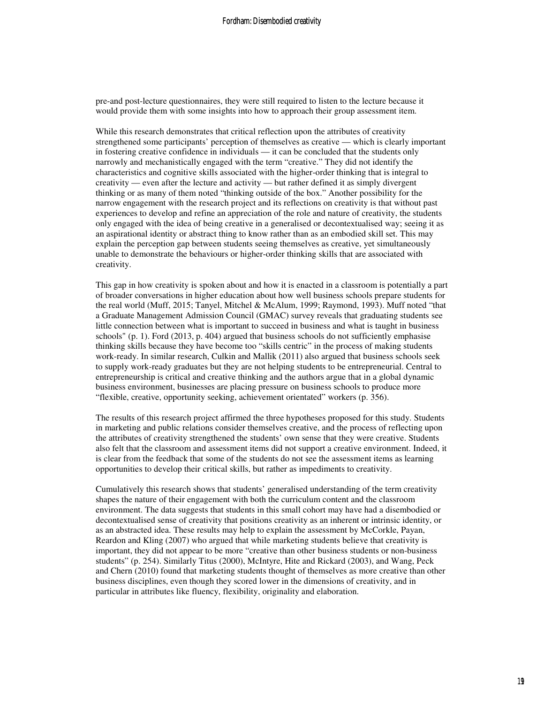pre-and post-lecture questionnaires, they were still required to listen to the lecture because it would provide them with some insights into how to approach their group assessment item.

While this research demonstrates that critical reflection upon the attributes of creativity strengthened some participants' perception of themselves as creative — which is clearly important in fostering creative confidence in individuals — it can be concluded that the students only narrowly and mechanistically engaged with the term "creative." They did not identify the characteristics and cognitive skills associated with the higher-order thinking that is integral to creativity — even after the lecture and activity — but rather defined it as simply divergent thinking or as many of them noted "thinking outside of the box." Another possibility for the narrow engagement with the research project and its reflections on creativity is that without past experiences to develop and refine an appreciation of the role and nature of creativity, the students only engaged with the idea of being creative in a generalised or decontextualised way; seeing it as an aspirational identity or abstract thing to know rather than as an embodied skill set. This may explain the perception gap between students seeing themselves as creative, yet simultaneously unable to demonstrate the behaviours or higher-order thinking skills that are associated with creativity.

This gap in how creativity is spoken about and how it is enacted in a classroom is potentially a part of broader conversations in higher education about how well business schools prepare students for the real world (Muff, 2015; Tanyel, Mitchel & McAlum, 1999; Raymond, 1993). Muff noted "that a Graduate Management Admission Council (GMAC) survey reveals that graduating students see little connection between what is important to succeed in business and what is taught in business schools" (p. 1). Ford (2013, p. 404) argued that business schools do not sufficiently emphasise thinking skills because they have become too "skills centric" in the process of making students work-ready. In similar research, Culkin and Mallik (2011) also argued that business schools seek to supply work-ready graduates but they are not helping students to be entrepreneurial. Central to entrepreneurship is critical and creative thinking and the authors argue that in a global dynamic business environment, businesses are placing pressure on business schools to produce more "flexible, creative, opportunity seeking, achievement orientated" workers (p. 356).

The results of this research project affirmed the three hypotheses proposed for this study. Students in marketing and public relations consider themselves creative, and the process of reflecting upon the attributes of creativity strengthened the students' own sense that they were creative. Students also felt that the classroom and assessment items did not support a creative environment. Indeed, it is clear from the feedback that some of the students do not see the assessment items as learning opportunities to develop their critical skills, but rather as impediments to creativity.

Cumulatively this research shows that students' generalised understanding of the term creativity shapes the nature of their engagement with both the curriculum content and the classroom environment. The data suggests that students in this small cohort may have had a disembodied or decontextualised sense of creativity that positions creativity as an inherent or intrinsic identity, or as an abstracted idea. These results may help to explain the assessment by McCorkle, Payan, Reardon and Kling (2007) who argued that while marketing students believe that creativity is important, they did not appear to be more "creative than other business students or non-business students" (p. 254). Similarly Titus (2000), McIntyre, Hite and Rickard (2003), and Wang, Peck and Chern (2010) found that marketing students thought of themselves as more creative than other business disciplines, even though they scored lower in the dimensions of creativity, and in particular in attributes like fluency, flexibility, originality and elaboration.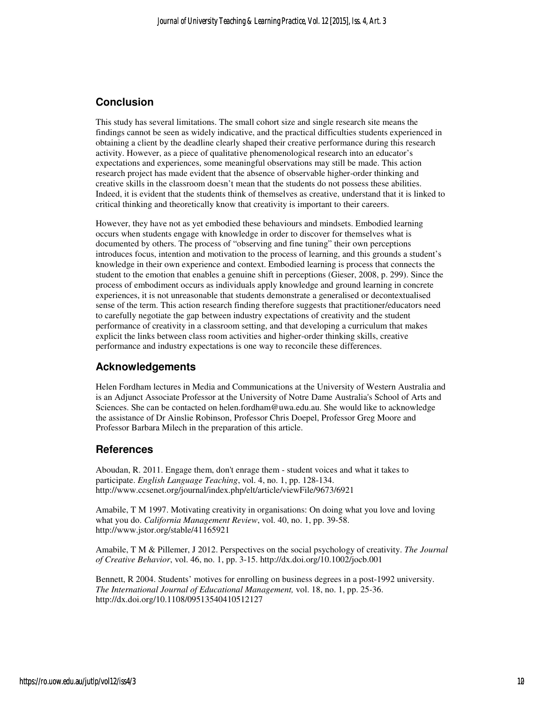#### **Conclusion**

This study has several limitations. The small cohort size and single research site means the findings cannot be seen as widely indicative, and the practical difficulties students experienced in obtaining a client by the deadline clearly shaped their creative performance during this research activity. However, as a piece of qualitative phenomenological research into an educator's expectations and experiences, some meaningful observations may still be made. This action research project has made evident that the absence of observable higher-order thinking and creative skills in the classroom doesn't mean that the students do not possess these abilities. Indeed, it is evident that the students think of themselves as creative, understand that it is linked to critical thinking and theoretically know that creativity is important to their careers.

However, they have not as yet embodied these behaviours and mindsets. Embodied learning occurs when students engage with knowledge in order to discover for themselves what is documented by others. The process of "observing and fine tuning" their own perceptions introduces focus, intention and motivation to the process of learning, and this grounds a student's knowledge in their own experience and context. Embodied learning is process that connects the student to the emotion that enables a genuine shift in perceptions (Gieser, 2008, p. 299). Since the process of embodiment occurs as individuals apply knowledge and ground learning in concrete experiences, it is not unreasonable that students demonstrate a generalised or decontextualised sense of the term. This action research finding therefore suggests that practitioner/educators need to carefully negotiate the gap between industry expectations of creativity and the student performance of creativity in a classroom setting, and that developing a curriculum that makes explicit the links between class room activities and higher-order thinking skills, creative performance and industry expectations is one way to reconcile these differences.

#### **Acknowledgements**

Helen Fordham lectures in Media and Communications at the University of Western Australia and is an Adjunct Associate Professor at the University of Notre Dame Australia's School of Arts and Sciences. She can be contacted on helen.fordham@uwa.edu.au. She would like to acknowledge the assistance of Dr Ainslie Robinson, Professor Chris Doepel, Professor Greg Moore and Professor Barbara Milech in the preparation of this article.

#### **References**

Aboudan, R. 2011. Engage them, don't enrage them - student voices and what it takes to participate. *English Language Teaching*, vol. 4, no. 1, pp. 128-134. http://www.ccsenet.org/journal/index.php/elt/article/viewFile/9673/6921

Amabile, T M 1997. Motivating creativity in organisations: On doing what you love and loving what you do. *California Management Review*, vol. 40, no. 1, pp. 39-58. http://www.jstor.org/stable/41165921

Amabile, T M & Pillemer, J 2012. Perspectives on the social psychology of creativity. *The Journal of Creative Behavior*, vol. 46, no. 1, pp. 3-15. http://dx.doi.org/10.1002/jocb.001

Bennett, R 2004. Students' motives for enrolling on business degrees in a post-1992 university. *The International Journal of Educational Management,* vol. 18, no. 1, pp. 25-36. http://dx.doi.org/10.1108/09513540410512127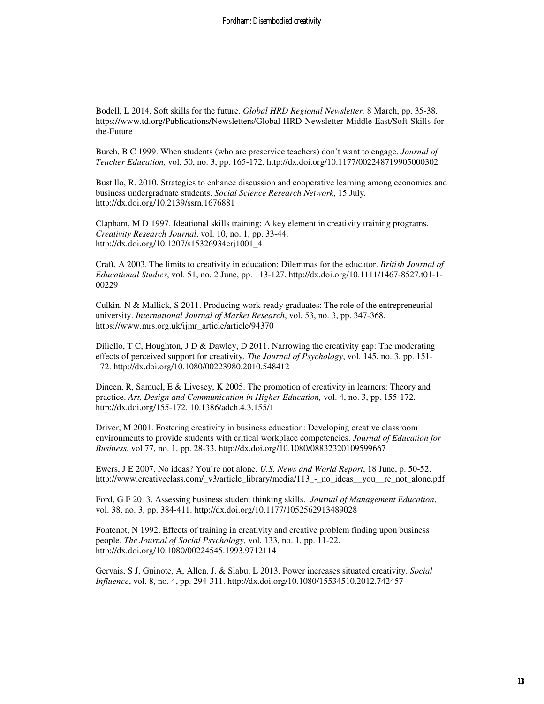Bodell, L 2014. Soft skills for the future. *Global HRD Regional Newsletter,* 8 March, pp. 35-38. https://www.td.org/Publications/Newsletters/Global-HRD-Newsletter-Middle-East/Soft-Skills-forthe-Future

Burch, B C 1999. When students (who are preservice teachers) don't want to engage. *Journal of Teacher Education,* vol. 50, no. 3, pp. 165-172. http://dx.doi.org/10.1177/002248719905000302

Bustillo, R. 2010. Strategies to enhance discussion and cooperative learning among economics and business undergraduate students. *Social Science Research Network*, 15 July*.* http://dx.doi.org/10.2139/ssrn.1676881

Clapham, M D 1997. Ideational skills training: A key element in creativity training programs. *Creativity Research Journal*, vol. 10, no. 1, pp. 33-44. http://dx.doi.org/10.1207/s15326934crj1001\_4

Craft, A 2003. The limits to creativity in education: Dilemmas for the educator. *British Journal of Educational Studies*, vol. 51, no. 2 June, pp. 113-127. http://dx.doi.org/10.1111/1467-8527.t01-1- 00229

Culkin, N & Mallick, S 2011. Producing work-ready graduates: The role of the entrepreneurial university. *International Journal of Market Research*, vol. 53, no. 3, pp. 347-368. https://www.mrs.org.uk/ijmr\_article/article/94370

Diliello, T C, Houghton, J D & Dawley, D 2011. Narrowing the creativity gap: The moderating effects of perceived support for creativity. *The Journal of Psychology*, vol. 145, no. 3, pp. 151- 172. http://dx.doi.org/10.1080/00223980.2010.548412

Dineen, R, Samuel, E & Livesey, K 2005. The promotion of creativity in learners: Theory and practice. *Art, Design and Communication in Higher Education,* vol. 4, no. 3, pp. 155-172. http://dx.doi.org/155-172. 10.1386/adch.4.3.155/1

Driver, M 2001. Fostering creativity in business education: Developing creative classroom environments to provide students with critical workplace competencies. *Journal of Education for Business*, vol 77, no. 1, pp. 28-33. http://dx.doi.org/10.1080/08832320109599667

Ewers, J E 2007. No ideas? You're not alone. *U.S. News and World Report*, 18 June, p. 50-52. http://www.creativeclass.com/\_v3/article\_library/media/113\_-\_no\_ideas\_\_you\_\_re\_not\_alone.pdf

Ford, G F 2013. Assessing business student thinking skills. *Journal of Management Education*, vol. 38, no. 3, pp. 384-411. http://dx.doi.org/10.1177/1052562913489028

Fontenot, N 1992. Effects of training in creativity and creative problem finding upon business people. *The Journal of Social Psychology,* vol. 133, no. 1, pp. 11-22. http://dx.doi.org/10.1080/00224545.1993.9712114

Gervais, S J, Guinote, A, Allen, J. & Slabu, L 2013. Power increases situated creativity. *Social Influence*, vol. 8, no. 4, pp. 294-311. http://dx.doi.org/10.1080/15534510.2012.742457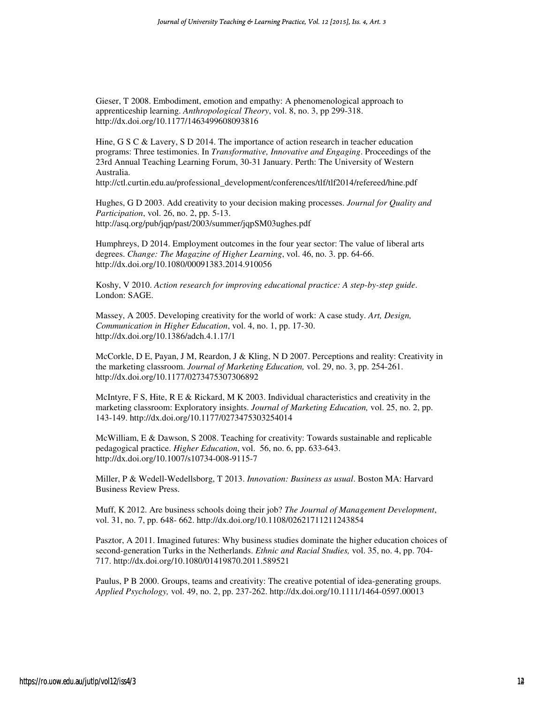Gieser, T 2008. Embodiment, emotion and empathy: A phenomenological approach to apprenticeship learning. *Anthropological Theory*, vol. 8, no. 3, pp 299-318. http://dx.doi.org/10.1177/1463499608093816

Hine, G S C & Lavery, S D 2014. The importance of action research in teacher education programs: Three testimonies. In *Transformative, Innovative and Engaging*. Proceedings of the 23rd Annual Teaching Learning Forum, 30-31 January. Perth: The University of Western Australia.

http://ctl.curtin.edu.au/professional\_development/conferences/tlf/tlf2014/refereed/hine.pdf

Hughes, G D 2003. Add creativity to your decision making processes. *Journal for Quality and Participation*, vol. 26, no. 2, pp. 5-13. http://asq.org/pub/jqp/past/2003/summer/jqpSM03ughes.pdf

Humphreys, D 2014. Employment outcomes in the four year sector: The value of liberal arts degrees. *Change: The Magazine of Higher Learning*, vol. 46, no. 3. pp. 64-66. http://dx.doi.org/10.1080/00091383.2014.910056

Koshy, V 2010. *Action research for improving educational practice: A step-by-step guide*. London: SAGE.

Massey, A 2005. Developing creativity for the world of work: A case study. *Art, Design, Communication in Higher Education*, vol. 4, no. 1, pp. 17-30. http://dx.doi.org/10.1386/adch.4.1.17/1

McCorkle, D E, Payan, J M, Reardon, J & Kling, N D 2007. Perceptions and reality: Creativity in the marketing classroom. *Journal of Marketing Education,* vol. 29, no. 3, pp. 254-261. http://dx.doi.org/10.1177/0273475307306892

McIntyre, F S, Hite, R E & Rickard, M K 2003. Individual characteristics and creativity in the marketing classroom: Exploratory insights. *Journal of Marketing Education,* vol. 25, no. 2, pp. 143-149. http://dx.doi.org/10.1177/0273475303254014

McWilliam, E & Dawson, S 2008. Teaching for creativity: Towards sustainable and replicable pedagogical practice. *Higher Education*, vol. 56, no. 6, pp. 633-643. http://dx.doi.org/10.1007/s10734-008-9115-7

Miller, P & Wedell-Wedellsborg, T 2013. *Innovation: Business as usual*. Boston MA: Harvard Business Review Press.

Muff, K 2012. Are business schools doing their job? *The Journal of Management Development*, vol. 31, no. 7, pp. 648- 662. http://dx.doi.org/10.1108/02621711211243854

Pasztor, A 2011. Imagined futures: Why business studies dominate the higher education choices of second-generation Turks in the Netherlands. *Ethnic and Racial Studies,* vol. 35, no. 4, pp. 704- 717. http://dx.doi.org/10.1080/01419870.2011.589521

Paulus, P B 2000. Groups, teams and creativity: The creative potential of idea-generating groups. *Applied Psychology,* vol. 49, no. 2, pp. 237-262. http://dx.doi.org/10.1111/1464-0597.00013